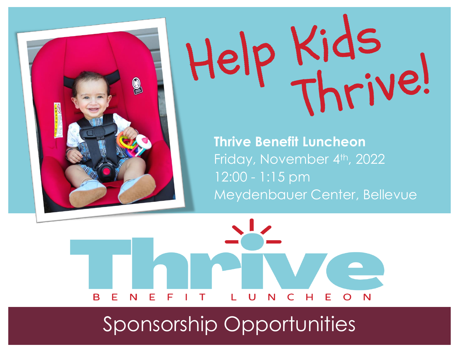



**Thrive Benefit Luncheon** Friday, November 4th, 2022 12:00 - 1:15 pm Meydenbauer Center, Bellevue



# Sponsorship Opportunities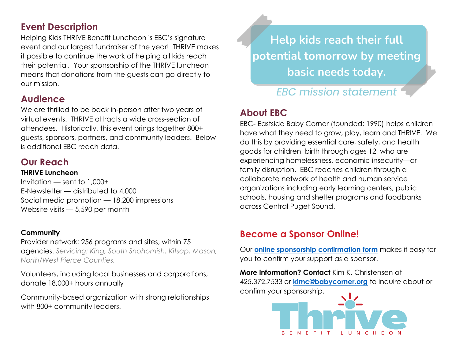## **Event Description**

Helping Kids THRIVE Benefit Luncheon is EBC's signature event and our largest fundraiser of the year! THRIVE makes it possible to continue the work of helping all kids reach their potential. Your sponsorship of the THRIVE luncheon means that donations from the guests can go directly to our mission.

## **Audience**

We are thrilled to be back in-person after two years of virtual events. THRIVE attracts a wide cross-section of attendees. Historically, this event brings together 800+ guests, sponsors, partners, and community leaders. Below is additional EBC reach data.

## **Our Reach**

#### **THRIVE Luncheon**

Invitation — sent to 1,000+ E-Newsletter — distributed to 4,000 Social media promotion — 18,200 impressions Website visits — 5,590 per month

#### **Community**

### Provider network: 256 programs and sites, within 75

agencies. *Servicing: King, South Snohomish, Kitsap, Mason, North/West Pierce Counties.*

Volunteers, including local businesses and corporations, donate 18,000+ hours annually

Community-based organization with strong relationships with 800+ community leaders.

Help kids reach their full potential tomorrow by meeting basic needs today.

# **FBC mission statement**

# **About EBC**

EBC- Eastside Baby Corner (founded: 1990) helps children have what they need to grow, play, learn and THRIVE. We do this by providing essential care, safety, and health goods for children, birth through ages 12, who are experiencing homelessness, economic insecurity—or family disruption. EBC reaches children through a collaborate network of health and human service organizations including early learning centers, public schools, housing and shelter programs and foodbanks across Central Puget Sound.

## **Become a Sponsor Online!**

Our **[online sponsorship confirmation form](https://eastsidebabycorner.wufoo.com/forms/sponsorship-agreement-and-payment/)** makes it easy for you to confirm your support as a sponsor.

**More information? Contact** Kim K. Christensen at 425.372.7533 or **[kimc@babycorner.org](mailto:kimc@babycorner.org)** to inquire about or confirm your sponsorship.

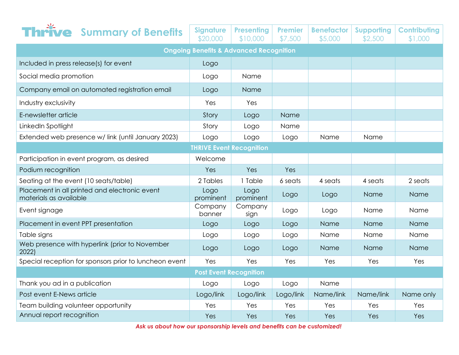|                                                                         | <b>hrive</b> Summary of Benefits                       | <b>Signature</b><br>\$20,000 | <b>Presenting</b><br>\$10,000 | <b>Premier</b><br>\$7,500 | <b>Benefactor</b><br>\$5,000 | <b>Supporting</b><br>\$2,500 | <b>Contributing</b><br>\$1,000 |
|-------------------------------------------------------------------------|--------------------------------------------------------|------------------------------|-------------------------------|---------------------------|------------------------------|------------------------------|--------------------------------|
| <b>Ongoing Benefits &amp; Advanced Recognition</b>                      |                                                        |                              |                               |                           |                              |                              |                                |
| Included in press release(s) for event                                  |                                                        | Logo                         |                               |                           |                              |                              |                                |
| Social media promotion                                                  |                                                        | Logo                         | Name                          |                           |                              |                              |                                |
| Company email on automated registration email                           |                                                        | Logo                         | <b>Name</b>                   |                           |                              |                              |                                |
| Industry exclusivity                                                    |                                                        | Yes                          | Yes.                          |                           |                              |                              |                                |
| E-newsletter article                                                    |                                                        | Story                        | Logo                          | Name                      |                              |                              |                                |
| LinkedIn Spotlight                                                      |                                                        | Story                        | Logo                          | Name                      |                              |                              |                                |
| Extended web presence w/ link (until January 2023)                      |                                                        | Logo                         | Logo                          | Logo                      | Name                         | Name                         |                                |
| <b>THRIVE Event Recognition</b>                                         |                                                        |                              |                               |                           |                              |                              |                                |
| Participation in event program, as desired                              |                                                        | Welcome                      |                               |                           |                              |                              |                                |
| Podium recognition                                                      |                                                        | Yes                          | Yes                           | Yes                       |                              |                              |                                |
| Seating at the event (10 seats/table)                                   |                                                        | 2 Tables                     | 1 Table                       | 6 seats                   | 4 seats                      | 4 seats                      | 2 seats                        |
| Placement in all printed and electronic event<br>materials as available |                                                        | Logo<br>prominent            | Logo<br>prominent             | Logo                      | Logo                         | Name                         | <b>Name</b>                    |
| Event signage                                                           |                                                        | Company<br>banner            | Company<br>sign               | Logo                      | Logo                         | Name                         | Name                           |
| Placement in event PPT presentation                                     |                                                        | Logo                         | Logo                          | Logo                      | Name                         | Name                         | Name                           |
| Table signs                                                             |                                                        | Logo                         | Logo                          | Logo                      | Name                         | Name                         | Name                           |
| 2022)                                                                   | Web presence with hyperlink (prior to November         | Logo                         | Logo                          | Logo                      | Name                         | Name                         | Name                           |
|                                                                         | Special reception for sponsors prior to luncheon event | Yes                          | Yes                           | Yes                       | Yes                          | Yes                          | Yes                            |
| <b>Post Event Recognition</b>                                           |                                                        |                              |                               |                           |                              |                              |                                |
| Thank you ad in a publication                                           |                                                        | Logo                         | Logo                          | Logo                      | Name                         |                              |                                |
| Post event E-News article                                               |                                                        | Logo/link                    | Logo/link                     | Logo/link                 | Name/link                    | Name/link                    | Name only                      |
| Team building volunteer opportunity                                     |                                                        | Yes                          | Yes                           | Yes                       | Yes                          | Yes                          | Yes                            |
| Annual report recognition                                               |                                                        | Yes                          | Yes                           | Yes                       | Yes                          | Yes                          | Yes                            |

*Ask us about how our sponsorship levels and benefits can be customized!*